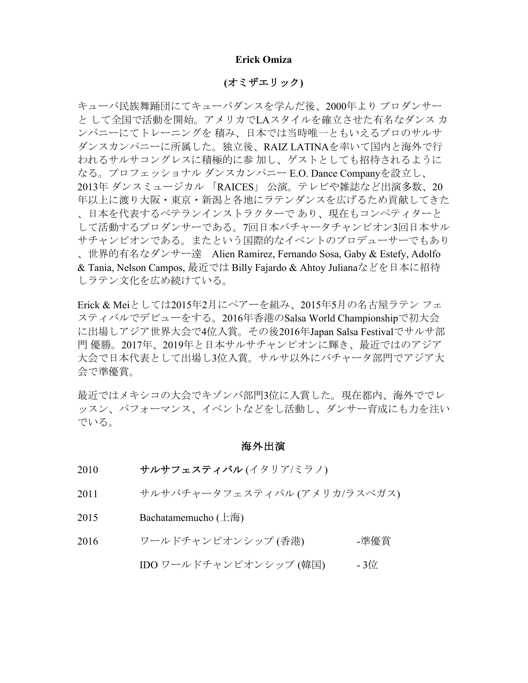#### **Erick Omiza**

### **(**オミザエリック**)**

キューバ民族舞踊団にてキューバダンスを学んだ後、2000年より プロダンサー と して全国で活動を開始。アメリカでLAスタイルを確立させた有名なダンス カ ンパニーにてトレーニングを 積み、日本では当時唯一ともいえるプロのサルサ ダンスカンパニーに所属した。独立後、RAIZ LATINAを率いて国内と海外で行 われるサルサコングレスに積極的に参 加し、ゲストとしても招待されるように なる。プロフェッショナル ダンスカンパニー E.O. Dance Companyを設立し、 2013年 ダンスミュージカル 「RAICES」 公演。テレビや雑誌など出演多数、20 年以上に渡り大阪・東京・新潟と各地にラテンダンスを広げるため貢献してきた 、日本を代表するベテランインストラクターで あり、現在もコンペティターと して活動するプロダンサーである。7回日本バチャータチャンピオン3回日本サル サチャンピオンである。またという国際的なイベントのプロデューサーでもあり 、世界的有名なダンサー達 Alien Ramirez, Fernando Sosa, Gaby & Estefy, Adolfo & Tania, Nelson Campos, 最近では Billy Fajardo & Ahtoy Julianaなどを日本に招待 しラテン文化を広め続けている。

Erick & Meiとしては2015年2月にペアーを組み、2015年5月の名古屋ラテン フェ スティバルでデビューをする。2016年香港のSalsa World Championshipで初大会 に出場しアジア世界大会で4位入賞。その後2016年Japan Salsa Festivalでサルサ部 門 優勝。2017年、2019年と日本サルサチャンピオンに輝き、最近ではのアジア 大会で日本代表として出場し3位入賞。サルサ以外にバチャータ部門でアジア大 会で準優賞。

最近ではメキシコの大会でキゾンバ部門3位に入賞した。現在都内、海外ででレ ッスン、パフォーマンス、イベントなどをし活動し、ダンサー育成にも力を注い でいる。

### 海外出演

- 2010 サルサフェスティバル (イタリア/ミラノ)
- 2011 サルサバチャータフェスティバル (アメリカ/ラスベガス)
- 2015 Bachatamemucho (上海)
- 2016 ワールドチャンピオンシップ (香港) 準優賞

### IDO ワールドチャンピオンシップ (韓国) - 3位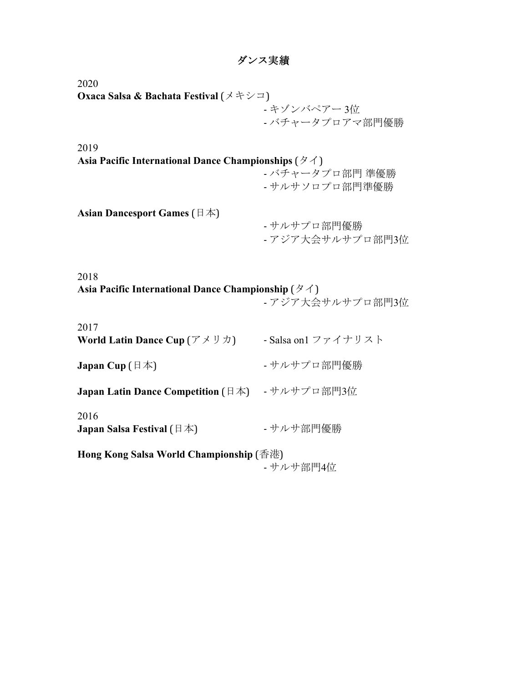# ダンス実績

2020 **Oxaca Salsa & Bachata Festival** (メキシコ) - キゾンバペアー 3位 - バチャータプロアマ部門優勝

2019 **Asia Pacific International Dance Championships** (タイ) - バチャータプロ部門 準優勝 - サルサソロプロ部門準優勝 **Asian Dancesport Games** (日本)

- サルサプロ部門優勝 - アジア大会サルサプロ部門3位

2018 **Asia Pacific International Dance Championship** (タイ)

- アジア大会サルサプロ部門3位

| 2017<br><b>World Latin Dance Cup</b> $(\mathcal{F} \times \mathcal{Y} \times \mathcal{Y})$ | - Salsa on1 ファイナリスト |
|--------------------------------------------------------------------------------------------|---------------------|
| Japan Cup $(\exists \nexists)$                                                             | - サルサプロ部門優勝         |
| <b>Japan Latin Dance Competition</b> $(\exists \nexists)$                                  | - サルサプロ部門3位         |
| 2016<br><b>Japan Salsa Festival</b> ( $\boxplus \cancel{\pm}$ )                            | - サルサ部門優勝           |
| Hong Kong Salsa World Championship (香港)<br>- サルサ部門4位                                       |                     |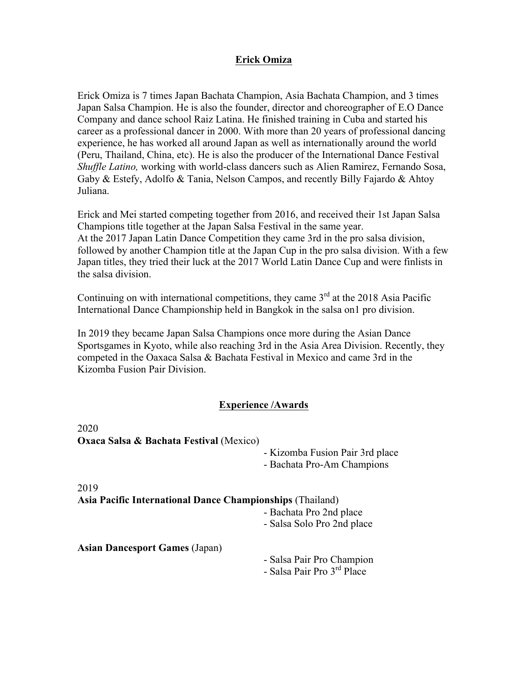# **Erick Omiza**

Erick Omiza is 7 times Japan Bachata Champion, Asia Bachata Champion, and 3 times Japan Salsa Champion. He is also the founder, director and choreographer of E.O Dance Company and dance school Raiz Latina. He finished training in Cuba and started his career as a professional dancer in 2000. With more than 20 years of professional dancing experience, he has worked all around Japan as well as internationally around the world (Peru, Thailand, China, etc). He is also the producer of the International Dance Festival *Shuffle Latino,* working with world-class dancers such as Alien Ramirez, Fernando Sosa, Gaby & Estefy, Adolfo & Tania, Nelson Campos, and recently Billy Fajardo & Ahtoy Juliana.

Erick and Mei started competing together from 2016, and received their 1st Japan Salsa Champions title together at the Japan Salsa Festival in the same year. At the 2017 Japan Latin Dance Competition they came 3rd in the pro salsa division, followed by another Champion title at the Japan Cup in the pro salsa division. With a few Japan titles, they tried their luck at the 2017 World Latin Dance Cup and were finlists in the salsa division.

Continuing on with international competitions, they came  $3<sup>rd</sup>$  at the 2018 Asia Pacific International Dance Championship held in Bangkok in the salsa on1 pro division.

In 2019 they became Japan Salsa Champions once more during the Asian Dance Sportsgames in Kyoto, while also reaching 3rd in the Asia Area Division. Recently, they competed in the Oaxaca Salsa & Bachata Festival in Mexico and came 3rd in the Kizomba Fusion Pair Division.

## **Experience /Awards**

| 2020                                                      |                                                               |
|-----------------------------------------------------------|---------------------------------------------------------------|
| <b>Oxaca Salsa &amp; Bachata Festival (Mexico)</b>        |                                                               |
|                                                           | - Kizomba Fusion Pair 3rd place<br>- Bachata Pro-Am Champions |
| 2019                                                      |                                                               |
| Asia Pacific International Dance Championships (Thailand) |                                                               |
|                                                           | - Bachata Pro 2nd place                                       |
|                                                           | - Salsa Solo Pro 2nd place                                    |
| <b>Asian Dancesport Games (Japan)</b>                     |                                                               |
|                                                           | - Salsa Pair Pro Champion                                     |
|                                                           | - Salsa Pair Pro 3 <sup>rd</sup> Place                        |